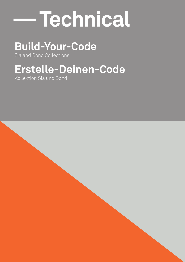# **— Technical**

# **Build-Your-Code**

Sia and Bond Collections

# **Erstelle-Deinen-Code**

Kollektion Sia und Bond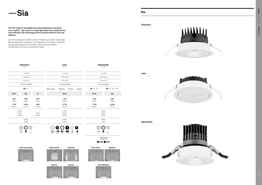|                      | <b>Standard</b><br>P. 8 |                |                         | Lens<br>P. 14           |                        |           |                      | Adjustable<br>P. 16               |
|----------------------|-------------------------|----------------|-------------------------|-------------------------|------------------------|-----------|----------------------|-----------------------------------|
|                      | $<$ 19 UGR              |                |                         | $<$ 19 UGR              |                        |           |                      | $<$ 19 UGR                        |
|                      | 2 MacAdam               |                |                         | 2 MacAdam               |                        |           |                      | 2 MacAdam                         |
|                      | 129 lm/W                |                |                         | 129 lm/W                |                        |           |                      | 129 lm/W                          |
|                      | 50000h L80 B20          |                |                         | 50000h L80 B20          |                        |           |                      | 50000h L80 B20                    |
|                      | $\blacksquare$ 80°      |                | Wall washer             | <b>Batwing</b>          | Narrow                 | Square    | $20^{\circ}$ / 37°   | ■ 18° / 30° / 38°                 |
| Small                | <b>Big</b>              | <b>XL</b>      |                         | Small                   |                        |           | Small                | <b>Big</b>                        |
| <b>12W</b><br>1407lm | <b>25W</b><br>2840lm    | 37W<br>3502lm  |                         | <b>12W</b><br>1444lm    |                        |           | <b>12W</b><br>1407lm | <b>25W</b><br>2840lm              |
| 17,7W<br>1865lm      | 33,4W<br>3471lm         | 44W<br>4165lm  |                         | 17,7W<br>1886lm         |                        |           | 17,7W<br>1865lm      | 33,4W<br>3471lm                   |
|                      | 2700K<br>3000K<br>4000K | 3000K<br>4000K |                         | 2700K<br>3000K<br>4000K |                        |           |                      | 2700K<br>3000K<br>4000K           |
|                      | CRI80<br><b>CRI90</b>   |                |                         | CRI80<br><b>CRI90</b>   |                        |           |                      | CRI80<br>CRI90                    |
|                      | $\circ$<br>Ω<br>O       |                | $\circ$                 | О                       | $\circ$                | $\bullet$ |                      | $\left[ \circ \right]$<br>$\circ$ |
|                      | ∟<br>14<br>60<br>WT     |                | $\Box\Box$<br><b>WR</b> | WH<br>WL                | <b>WN</b><br><b>WP</b> | - ■<br>WQ | 14                   | 60<br>WT                          |



# — **Sia**

# **Sia**







#### **Standard**



**Lens**







#### The SIA range of downlights has been designed to maximise user comfort. The result is a single light beam that combines the most efficient LED technology and the perfect blend of lens and reflector.

Die SIA-Downlight-Familie wurde im Hinblick auf einen maximalen Benutzerkomfort entworfen. Das Ergebnis, ein einziger Lichtpunkt, der die effizienteste LED-Technik nutzt und eine perfekte Verbindung von Linse und Reflektor bietet.

> Accessories Zubehöre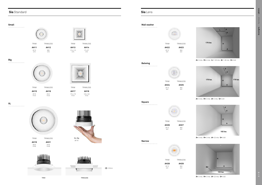# **Sia** Standard **Sia** Lens





### **Small**

**Big**



**XL**



**A=** 3 mts. **H=** 4 mts. **L=** 1.45 mts. **d=** 1.40 mts. **U=** 0.60



**A=** 3 mts. **H=** 3 mts. **d=** 2 mts. **U=** 0.69

TRIM **AH11** Ø115 H75 **AH12**

TRIM **AH15** Ø170 H123 TRIMLESS **AH16** Ø141 H123









**AH19** Ø225 H149 **AH21** Ø190 H149







**A=** 3 mts. **H=** 3 mts. **d=** 3,3 mts. **U=** 0.63

Ø115 H51 **AH25** Ø92 H51



**A=** 3 mts. **H=** 3 mts. **d=** 3,3 mts. **U=** 0.63

TRIM **AH13** 115 x 115 H75 TRIMLESS **AH14** 97 x 97 H75



TRIM **AH17** 170 x 170 H123 TRIMLESS **AH18** 144 x 144 H123



#### **Wall washer**

**Batwing**



**AH28** Ø115 H51 **AH29** Ø92 H51

**TRIM** TRIMLESS

**extra** 0-20mm

**Narrow**



**AH26** Ø115 H51 **AH27** Ø92 H51

**Square**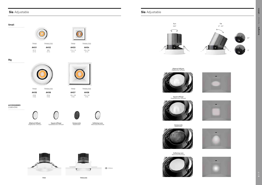# **Sia** Adjustable **Sia** Adjustable













TRIM **AH37** 180 x 180 H<sub>166</sub> TRIMLESS **AH38** 165 x 165 H<sub>166</sub>

TRIM **AH31** Ø115 H110 TRIMLESS **AH32** Ø95 H110





TRIM **AH35** Ø180 H166 TRIMLESS **AH36** Ø166 H166



| TRIM              | TRIMI FSS                |
|-------------------|--------------------------|
| <b>AH33</b>       | <b>AH34</b>              |
| 115 x 115<br>H110 | $100 \times 100$<br>H110 |

#### **Small**







Elliptical Diffuser Elliptischer Diffusor









Honeycomb<br>Wabentafel

Square diffuser Quadratischer Diffusor



Honeycomb<br>Wabentafel

Wabentafel Honeycomb Softening Lens Weichzeichnerlinse



TRIM TRIMLESS



<sup>1</sup> 0-20mm



Softening Lens Weichzeichnerlinse



#### **ACCESSORIES** ZUBEHÖRE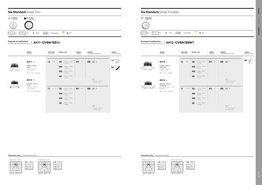# **Sia Standard** Small Trimless

# **Sia Standard** Small Trim



| $\Box$ 14 WHITE<br>WEISS | 60 BLACK<br>Schwarz               |                                |                           |  |
|--------------------------|-----------------------------------|--------------------------------|---------------------------|--|
|                          |                                   |                                |                           |  |
| BODY MAT AL              | $\circled{1}$ IP54<br>DIFMAT   PC | 50000h<br>L80 B20<br>2 MacAdam | $\blacksquare$ 80 $\circ$ |  |

3 4

H(m)



2 3 4

H(m)

|     | <b>MODEL</b><br>MODELL                                                                  | <b>WATTAGE</b><br>WATTAGE | <b>KELVIN / CRI</b>                                                                              | <b>ANGLE</b><br>WINKEL | <b>SOURCE</b><br>STROMVERSORGUNG                          | <b>FINISH</b><br>AUSFÜHRUNG |                  | <b>MODEL</b><br>MODELL                                                                                    | <b>WATTAGE</b><br>WATTAGE |
|-----|-----------------------------------------------------------------------------------------|---------------------------|--------------------------------------------------------------------------------------------------|------------------------|-----------------------------------------------------------|-----------------------------|------------------|-----------------------------------------------------------------------------------------------------------|---------------------------|
| ншш | $AH11 -$<br>ROUND / SMALL /<br>TRIM<br>ROUND / KLEIN /<br>MIT RAHMEN<br>Ø115 H75 100100 | 12<br><b>12W</b>          | 2700K / CRI80<br>V8<br>1407lm<br>3000K / CRI80<br>W8<br>1407lm<br>3000K / CRI90<br>W9<br>1407lm  | <b>W1 80°</b>          | BB ⊗ I                                                    | $14^{\circ}$<br>60          | <b>HAALLITER</b> | $AH12 -$<br>ROUND / SMALL /<br><b>TRIMLESS</b><br>ROUND / KLEIN /<br>OHNE RAHMEN<br>Ø92 H75 <b>(DØ</b> 92 | $12$ 12W                  |
| щщщ | $AH13 -$<br>SQUARE / SMALL /<br><b>TRIM</b><br>SQUARE / KLEIN /<br>MIT RAHMEN           | 17 <sup>17</sup><br>17,7W | 4000K / CRI80<br>X <sub>8</sub><br>1407lm<br>V8<br>2700K / CRI80<br>1865lm                       | <b>W1 80°</b>          | $\mathcal{D}$<br>71-5233 ON/OFF<br>71-6142 DALI<br>BB ⊗ T |                             | шши              | $AH14 -$<br>SQUARE / SMALL /<br><b>TRIMLESS</b><br>SQUARE / KLEIN / OHNE<br>RAHMEN                        | $17 - 17,700$             |
|     | Ø115 H75 <b>Ⅱ</b> Ø100                                                                  |                           | 3000K / CRI80<br>W8<br>1865lm<br>$W9$ 3000K / CRI90<br>4000K / CRI80<br>X <sub>8</sub><br>1865lm |                        | $\circledcirc$<br>71-6142 ON/OFF<br>71-4706 DALI          |                             |                  | Ø97 H75 <b>Ω</b> Ø97                                                                                      |                           |







**Example of codification**

Aufbau der Artikelnummer **AH12-12V8W1BBWT**

#### **Example of codification** Aufbau der Artikelnummer

**AH11-12V8W1BB14**

Photometric data / Fotometrische Daten Photometric data / Fotometrische Daten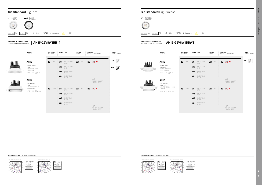# **Sia Standard** Big Trimless

# **Sia Standard** Big Trim





|                          | Š                                 |                                        |                          |
|--------------------------|-----------------------------------|----------------------------------------|--------------------------|
| $\Box$ 14 WHITE<br>WEISS | 60 BLACK<br>Schwarz               |                                        |                          |
|                          |                                   |                                        |                          |
| BODY MAT AL              | $\circled{1}$ IP54<br>DIFMAT   PC | 50000h<br>L80 <b>B</b> 20<br>2 MacAdam | $\sqrt{ }$ 80 $^{\circ}$ |



|                   | <b>MODEL</b><br>MODELL                                                                        | <b>WATTAGE</b><br>WATTAGE | <b>KELVIN / CRI</b>        |                                                                               | ANGLE<br>WINKEL |              | <b>SOURCE</b> | STROMVERSORGUNG                                 | <b>FINISH</b><br>AUSFÜHRUNG         |                   | <b>MODEL</b><br>MODELL                                                                             |
|-------------------|-----------------------------------------------------------------------------------------------|---------------------------|----------------------------|-------------------------------------------------------------------------------|-----------------|--------------|---------------|-------------------------------------------------|-------------------------------------|-------------------|----------------------------------------------------------------------------------------------------|
| <b>IMMINI</b>     | $AH15 -$<br>ROUND / BIG /<br><b>TRIM</b><br>SQUARE / KLEIN /<br>MIT RAHMEN<br>Ø170 H123 ①Ø150 | 25<br><b>25W</b>          | V <sub>8</sub><br>W8<br>W9 | 2700K / CRI80<br>2840lm<br>3000K / CRI80<br>2840lm<br>3000K / CRI90<br>2840lm | W1              | $80^\circ$   | <b>BB</b>     | $\gg M$                                         | $14$ $\overline{\phantom{1}}$<br>60 | <u>iiiiiiiiii</u> | $AH16 -$<br>ROUND / BIG /<br><b>TRIMLESS</b><br>ROUND / GROSS /<br>OHNE RAHMEN<br>Ø141 H123 100141 |
| <u>illillilli</u> | $AH17 -$<br>SQUARE / BIG /<br><b>TRIM</b><br>SQUARE / GROSS /                                 |                           | X <sub>8</sub>             | 4000K / CRI80<br>2840lm                                                       |                 |              |               | $\mathcal{D}$<br>71-5327 ON/OFF<br>71-4706 DALI |                                     | <b>TIMELIA</b>    | $AH18 -$<br>SQUARE / BIG /<br><b>TRIMLESS</b><br>SQUARE / GROSS / OI                               |
|                   | MIT RAHMEN<br>☑170 H123 12150                                                                 | 33<br>33,4W               | V8<br>W8<br>W9             | 2700K / CRI80<br>3471lm<br>3000K / CRI80<br>3471lm<br>3000K / CRI90<br>3471lm | W1              | $80^{\rm o}$ | <b>BB</b>     | $\gg$ P                                         |                                     |                   | RAHMEN<br>☑144 H123 <u></u> Ⅱ Ø14                                                                  |
|                   |                                                                                               |                           | X <sub>8</sub>             | 4000K / CRI80<br>3471 lm                                                      |                 |              |               | $\mathcal{D}$<br>71-4897 ON/OFF<br>71-4706 DALI |                                     |                   |                                                                                                    |



3 4

1166 291 130 73 H(m)

2 3 4

1.66 3.32 4.98 6.64

H(m)

**Example of codification**

# Aufbau der Artikelnummer **AH16-25V8W1BBWT**

#### **Example of codification** Aufbau der Artikelnummer

**AH15-25V8W1BB14**

Photometric data / Fotometrische Daten Photometric data / Fotometrische Daten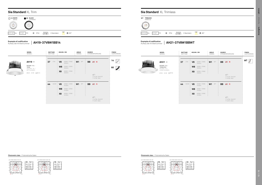# **Sia Standard** XL Trimless

# **Sia Standard** XL Trim

|          | 60 BLACK<br>Schwarz                                                                                         | <b>WT TRIMLESS</b><br>RANDLOS                                                                                              |  |
|----------|-------------------------------------------------------------------------------------------------------------|----------------------------------------------------------------------------------------------------------------------------|--|
| 14 WHITE |                                                                                                             |                                                                                                                            |  |
|          | $\frac{50000h}{200000}$ 2 MacAdam $\sqrt{20000}$<br><b>BODY MAT</b> AL DIFMAT $PC \qquad \circledcirc$ IP54 | $\sqrt{2}$ 280°<br>DIFMAT PC $\qquad \qquad \circledR$ IP54 $\qquad \qquad \bullet$ 50000h 2 MacAdam<br><b>BODY MAT AL</b> |  |

|    | <b>MODEL</b><br>Modell                                                              | <b>WATTAGE</b><br>WATTAGE | <b>KELVIN / CRI</b>               |                                                                               | ANGLE<br>WINKEL | <b>SOURCE</b> | STROMVERSORGUNG                                           | <b>FINISH</b><br>AUSFÜHRUNG |  | <b>MODEL</b><br>MODELL                                                                 | <b>WATTAGE</b><br>WATTAGE |       | <b>KELVIN / CRI</b>                    |                                              |
|----|-------------------------------------------------------------------------------------|---------------------------|-----------------------------------|-------------------------------------------------------------------------------|-----------------|---------------|-----------------------------------------------------------|-----------------------------|--|----------------------------------------------------------------------------------------|---------------------------|-------|----------------------------------------|----------------------------------------------|
| Шщ | $AH19 -$<br>ROUND / XL /<br>TRIM<br>SQUARE / XL /<br>MIT RAHMEN<br>Ø225 H149 100215 | 37<br>37W                 | V8<br><b>W8</b><br>X <sub>8</sub> | 3000K / CRI80<br>3502lm<br>3000K / CRI90<br>3502lm<br>4000K / CRI80<br>3502lm | <b>W1 80°</b>   |               | BB ※ N<br>$\circled{r}$<br>71-6144 ON/OFF<br>71-4706 DALI | $14^{\circ}$<br>60          |  | $AH21 -$<br>ROUND / XL /<br>TRIMLESS<br>ROUND / XL /<br>OHNE RAHMEN<br>Ø190 H149 ①Ø190 | 37                        | 37W   | V <sub>8</sub><br>W8<br>X <sub>8</sub> | 3000<br>3502<br>3000<br>3502<br>4000<br>3502 |
|    |                                                                                     | 44<br>44,5W               | V8<br>W8<br>X <sub>8</sub>        | 3000K / CRI80<br>4165lm<br>3000K / CRI90<br>4165lm<br>4000K / CRI80<br>4165lm | <b>W1 80°</b>   |               | BB $\gg$ Q                                                |                             |  |                                                                                        | 44                        | 44,5W | V <sub>8</sub><br><b>W8</b> 3000<br>X8 | $3000$<br>$4165$<br>4165<br>4000<br>4165     |
|    |                                                                                     |                           |                                   |                                                                               |                 |               | $\mathcal{D}$<br>71-4706 ON/OFF<br>71-2413 DALI           |                             |  |                                                                                        |                           |       |                                        |                                              |







| ANGLE<br>WINKEL | <b>SOURCE</b><br>STROMVERSORGUNG                              | <b>FINISH</b><br>AUSFÜHRUNG |                | <b>MODEL</b><br>MODELL                                                                 | <b>WATTAGE</b><br>WATTAGE |       | <b>KELVIN / CRI</b>        |                                                                               | <b>ANGLE</b><br>WINKEL |            | <b>SOURCE</b> | STROMVERSOR                                   |
|-----------------|---------------------------------------------------------------|-----------------------------|----------------|----------------------------------------------------------------------------------------|---------------------------|-------|----------------------------|-------------------------------------------------------------------------------|------------------------|------------|---------------|-----------------------------------------------|
| <b>W1 80°</b>   | BB $\gg$ N<br>$\circled{r}$<br>71-6144 ON/OFF<br>71-4706 DALI | 14<br>60                    | <b>WILLIAM</b> | $AH21 -$<br>ROUND / XL /<br>TRIMLESS<br>ROUND / XL /<br>OHNE RAHMEN<br>Ø190 H149 10190 | 37                        | 37W   | V8<br>W8<br>X <sub>8</sub> | 3000K / CRI80<br>3502lm<br>3000K / CRI90<br>3502lm<br>4000K / CRI80<br>3502lm | W1                     | $80^\circ$ |               | BB ※ N<br>$\mathcal{D}$<br>71-6144<br>71-4706 |
| <b>W1 80°</b>   | BB 经 Q                                                        |                             |                |                                                                                        | 44                        | 44,5W | V8<br>W8                   | 3000K / CRI80<br>4165lm<br>3000K / CRI90<br>4165lm                            | W1                     | $80^\circ$ |               | BB <>>                                        |

Photometric data / Fotometrische Daten **Photometric data / Fotometrische Daten** Photometric data / Fotometrische Daten

3 4 1509 377 168 94 H(m)



3 4



**Example of codification**

#### Aufbau der Artikelnummer **AH21-37V8W1BBWT Example of codification** Aufbau der Artikelnummer

**AH19-37V8W1BB14**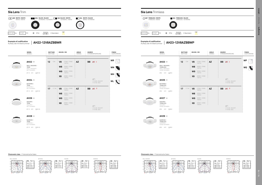# **Sia Lens** Trimless

#### **Sia Lens** Trim **WE WHITE / BLACK** WR WHITE / WHITE **BLACK / WHITE** WR WN WH WL **BLACK / BLACK** WARZ / SCHWARZ WEISS / WEISS SCHWARZ / WEISS WEISS / SCHWARZ  $\triangle$ ODY MAT  $AL$  DIF MAT  $PC$  (i) IP54 50000h <sup>L</sup>80 B<sup>20</sup> 2 MacAdam









#### **Example of codification** Aufbau der Artikelnummer

**Example of codification**

Aufbau der Artikelnummer **AH23-12V8AZBBWP**

**AH22-12V8AZBBWR**



**TRIM** NARROW / MIT RAHMEN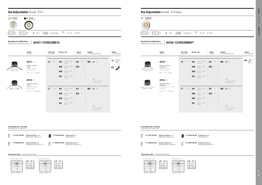# **Sia Adjustable** Small Trimless

# **Sia Adjustable** Small Trim **14 WHITE** 60 **BLACK** SCHWARZ O  $280^\circ$   $\leftrightarrow$  350° 50000h 2 MacAdam ODY MAT  $AL$  DIF MAT  $PC$  (i) IP54

 $\sqrt{}$   $\approx$  30°  $\Rightarrow$  350°



0-180º 90-270º cd







0-180º 90-270º cd

| <b>SOURCE</b> | STROMVERSORGUNG                                 | <b>FINISH</b><br>AUSFÜHRUNG | <b>MODEL</b><br>MODELL                                                                             | <b>WATTAGE</b><br>WATTAGE | <b>KELVIN / CRI</b>        |                                                                               | ANGLE<br>WINKEL |                     | <b>SOURCE</b> | <b>STROMVERSOF</b>                  |
|---------------|-------------------------------------------------|-----------------------------|----------------------------------------------------------------------------------------------------|---------------------------|----------------------------|-------------------------------------------------------------------------------|-----------------|---------------------|---------------|-------------------------------------|
|               | $BB \otimes 1$                                  | 14<br>60                    | $AH32 -$<br>ROUND / SMALL /<br><b>TRIMLESS</b><br>ROUND / KLEIN /<br>OHNE RAHMEN<br>Ø95 H110 10095 | 12<br>12W                 | V <sub>8</sub><br>W8<br>W9 | 2700K / CRI80<br>1407lm<br>3000K / CRI80<br>1407lm<br>3000K / CRI90<br>1407lm | S3<br>M3 37°    | $20^{\circ}$        | <b>BB</b>     | $\otimes$ 1                         |
|               | $\mathcal{D}$<br>71-5233 ON/OFF<br>71-6142 DALI |                             | $AH34 -$<br>SQUARE / SMALL /<br><b>TRIMLESS</b>                                                    |                           | X <sub>8</sub>             | 4000K / CRI80<br>1407lm                                                       |                 |                     |               | $\mathcal{D}$<br>71-5233<br>71-6142 |
|               | BB ⊗ T                                          |                             | SQUARE / KLEIN / OHNE<br>RAHMEN<br>☑100 H110 1 Ø100                                                | 17<br>17,7W               | V <sub>8</sub><br>W8       | 2700K / CRI80<br>1865lm<br>3000K / CRI80<br>1865lm                            | S3<br>M3        | $20^{\circ}$<br>37° | <b>BB</b>     | E ≫                                 |
|               |                                                 |                             |                                                                                                    |                           | W9<br>X <sub>8</sub>       | 3000K / CRI90<br>1865lm<br>4000K / CRI80<br>1865lm                            |                 |                     |               |                                     |
|               | $\bigcirc$<br>71-6142 ON/OFF<br>71-4706 DALI    |                             |                                                                                                    |                           |                            |                                                                               |                 |                     |               | $\mathcal{D}$<br>71-6142<br>71-4706 |
|               |                                                 |                             |                                                                                                    |                           |                            |                                                                               |                 |                     |               |                                     |

#### **Example of codification** Aufbau der Artikelnummer

**Example of codification** Aufbau der Artikelnummer

0-180° — 90-270° cd

**AH32-12V8S3BBWT**

0-180° — 90-270° cd

Honeycomb x 5 Wabentafel x 5

Weichzeichnerlinse x 5

**AH31-12V8S3BB14**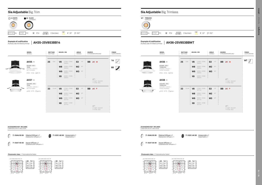# **Sia Adjustable** Big Trimless

# **Sia Adjustable** Big Trim 14 60 WT **WHITE** WEISS **BLACK** SCHWARZ  $\bigcirc$  $2$   $\rightarrow$  30°  $\leftrightarrow$  350° 50000h 2 MacAdam ODY MAT  $AL$  DIF MAT  $PC$  (i) IP54

30° 15° 0° 15° 30° 45° | 10 | 10 | 10 | 10 | 10 | 10 | 15

0-180° — 90-270° cd

 $280°$   $\Rightarrow$  30°  $\Rightarrow$  350°

# 0 Quadratischer Diffusor x 1

3 4

H(m)





2400 3000



|                         | <b>MODEL</b><br>MODELL                                                                | <b>WATTAGE</b><br>WATTAGE | <b>KELVIN / CRI</b>                                                                             | <b>ANGLE</b><br>WINKEL                           | <b>SOURCE</b><br>STROMVERSORGUNG                | <b>FINISH</b><br>AUSFÜHRUNG | <b>MODEL</b><br>MODELL                                                                             |
|-------------------------|---------------------------------------------------------------------------------------|---------------------------|-------------------------------------------------------------------------------------------------|--------------------------------------------------|-------------------------------------------------|-----------------------------|----------------------------------------------------------------------------------------------------|
|                         | $AH35 -$<br>ROUND / BIG /<br>TRIM<br>ROUND / GROSS /<br>MIT RAHMEN<br>Ø180 H166 ①Ø170 | 25<br><b>25W</b>          | 2700K / CRI80<br>V8<br>2840lm<br>3000K / CRI80<br>W8<br>2840lm<br>3000K / CRI90<br>W9<br>2840lm | S3<br>$18^{\circ}$<br>M2 30°<br><b>M3</b><br>38° | BB ※ M                                          | 14<br>60                    | $AH36 -$<br>ROUND / BIG /<br><b>TRIMLESS</b><br>ROUND / GROSS /<br>OHNE RAHMEN<br>Ø166 H166 100166 |
| $\mathbf{H}$<br>$-0.76$ | $AH37 -$<br>SQUARE / BIG /<br><b>TRIM</b><br>SQUARE / GROSS /                         |                           | 4000K / CRI80<br>X <sub>8</sub><br>2840lm                                                       |                                                  | $\mathcal{D}$<br>71-5327 ON/OFF<br>71-4706 DALI |                             | $AH38 -$<br>SQUARE / BIG /<br><b>TRIMLESS</b><br>SQUARE / GROSS /                                  |
|                         | MIT RAHMEN<br>☑180 H176 Ⅲ Ø170                                                        | 33<br>33,4W               | V8<br>2700K / CRI80<br>3471lm<br>3000K / CRI80<br>W8<br>3471lm<br>3000K / CRI90<br>W9<br>3471lm | S3<br>18°<br>M2 30°<br><b>M3</b> 38°             | <b>BB</b><br>$\gg$ P                            |                             | OHNE RAHMEN<br>Ø165 H176 <u></u> Ø16                                                               |
|                         |                                                                                       |                           | 4000K / CRI80<br>X <sub>8</sub><br>3471lm                                                       |                                                  | $\mathcal{D}$<br>71-4897 ON/OFF<br>71-4706 DALI |                             |                                                                                                    |

30° 15° 0° 15° 30° 45° 45°

0-180º 90-270º cd

3200 4000



#### **Example of codification** Aufbau der Artikelnummer

**Example of codification**

# Aufbau der Artikelnummer **AH36-25V8S3BBWT**

**ACCESSORIES NOT INCLUDED** ZUBEHÖRE NICHT INKLUSIVE

Honeycomb x 1 Wabentafel x 1

Honeycomb x 1 Wabentafel x 1

**AH35-25V8S3BB14**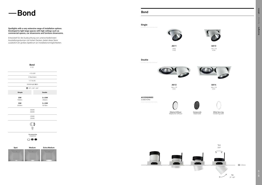# — **Bond Bond**

**Bond**

### P. 22 <13 UGR 2 MacAdam 117 lm/W 50000h L80 B20 15° / 24° / 36° **Simple Double 2 x 25W 25W**  1983lm 3966lm **33W 2 x 33W** 2509lm 5018lm 3000K 4000K CRI80 CRI90  $\mathbb{O}$  $\Box$ 14 Accessories Zubehöre  $\circ \bullet \bullet$

**AA12** 300 x 170 H<sub>161</sub>







Ø180 H145

**AA13** 178 x 178 H145



**AA14** 330 x 178 H161





### **Single**

### **Double**





#### Spotlights with a very extensive range of installation options. Developed to light large spaces with high ceilings such as commercial spaces, car showrooms and furniture showrooms.

Entwickelt für die Ausleuchtung von unterschiedlichsten Ausstellungsräumen mit hohen Decken, bietet diese Serie zusätzlich ein großes Spektrum an Installationsmöglichkeiten.

#### **ACCESSORIES** ZUBEHÖRE



White face ring Vorderring weiß



Honeycomb Wabentafel